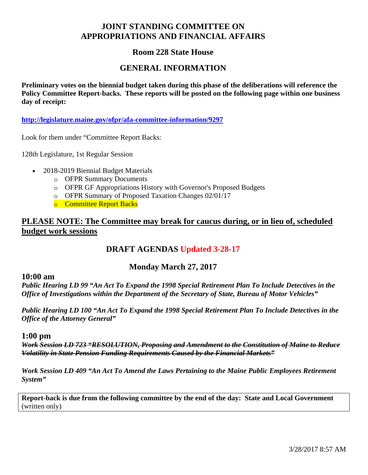# **JOINT STANDING COMMITTEE ON APPROPRIATIONS AND FINANCIAL AFFAIRS**

# **Room 228 State House**

## **GENERAL INFORMATION**

**Preliminary votes on the biennial budget taken during this phase of the deliberations will reference the Policy Committee Report-backs. These reports will be posted on the following page within one business day of receipt:** 

**http://legislature.maine.gov/ofpr/afa-committee-information/9297**

Look for them under "Committee Report Backs:

128th Legislature, 1st Regular Session

- 2018-2019 Biennial Budget Materials
	- o OFPR Summary Documents
	- o OFPR GF Appropriations History with Governor's Proposed Budgets
	- o OFPR Summary of Proposed Taxation Changes 02/01/17
	- o Committee Report Backs

# **PLEASE NOTE: The Committee may break for caucus during, or in lieu of, scheduled budget work sessions**

# **DRAFT AGENDAS Updated 3-28-17**

## **Monday March 27, 2017**

#### **10:00 am**

*Public Hearing LD 99 "An Act To Expand the 1998 Special Retirement Plan To Include Detectives in the Office of Investigations within the Department of the Secretary of State, Bureau of Motor Vehicles"*

*Public Hearing LD 100 "An Act To Expand the 1998 Special Retirement Plan To Include Detectives in the Office of the Attorney General"* 

#### **1:00 pm**

*Work Session LD 723 "RESOLUTION, Proposing and Amendment to the Constitution of Maine to Reduce Volatility in State Pension Funding Requirements Caused by the Financial Markets"*

*Work Session LD 409 "An Act To Amend the Laws Pertaining to the Maine Public Employees Retirement System"* 

**Report-back is due from the following committee by the end of the day: State and Local Government** (written only)